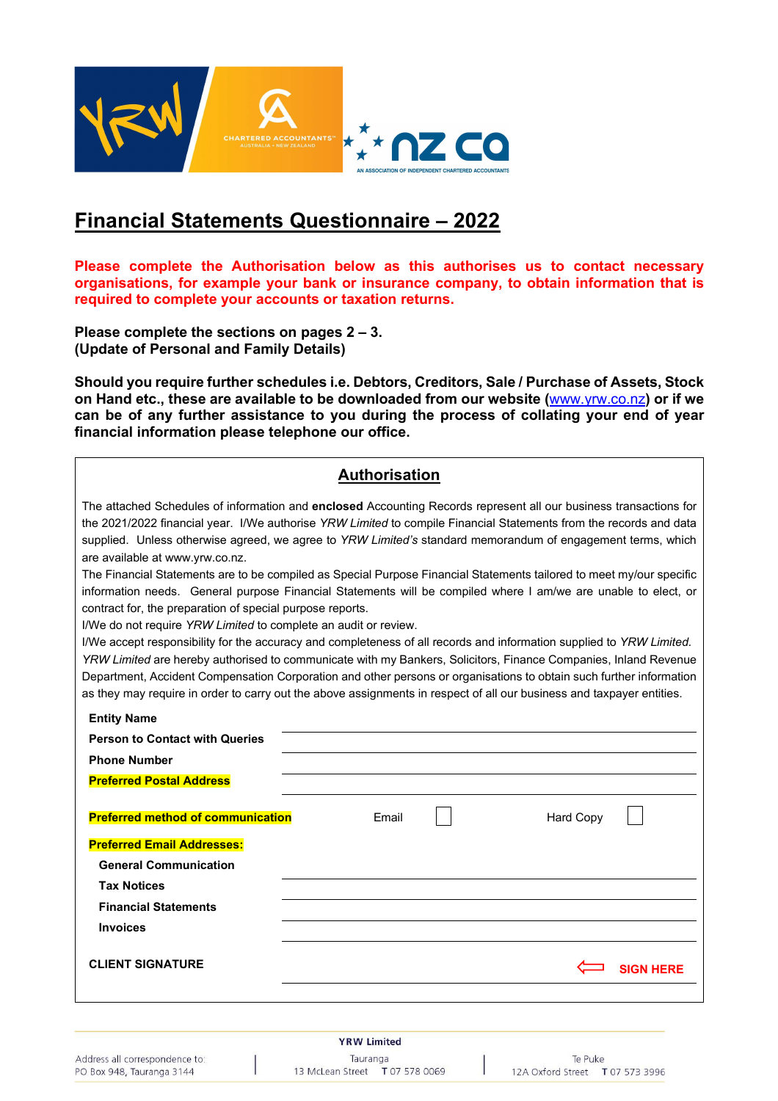

# **Financial Statements Questionnaire – 2022**

**Please complete the Authorisation below as this authorises us to contact necessary organisations, for example your bank or insurance company, to obtain information that is required to complete your accounts or taxation returns.** 

**Please complete the sections on pages 2 – 3. (Update of Personal and Family Details)** 

**Should you require further schedules i.e. Debtors, Creditors, Sale / Purchase of Assets, Stock on Hand etc., these are available to be downloaded from our website (**www.yrw.co.nz**) or if we can be of any further assistance to you during the process of collating your end of year financial information please telephone our office.** 

#### **Authorisation**

The attached Schedules of information and **enclosed** Accounting Records represent all our business transactions for the 2021/2022 financial year. I/We authorise *YRW Limited* to compile Financial Statements from the records and data supplied. Unless otherwise agreed, we agree to *YRW Limited's* standard memorandum of engagement terms, which are available at www.yrw.co.nz.

The Financial Statements are to be compiled as Special Purpose Financial Statements tailored to meet my/our specific information needs. General purpose Financial Statements will be compiled where I am/we are unable to elect, or contract for, the preparation of special purpose reports.

I/We do not require *YRW Limited* to complete an audit or review.

I/We accept responsibility for the accuracy and completeness of all records and information supplied to *YRW Limited. YRW Limited* are hereby authorised to communicate with my Bankers, Solicitors, Finance Companies, Inland Revenue Department, Accident Compensation Corporation and other persons or organisations to obtain such further information as they may require in order to carry out the above assignments in respect of all our business and taxpayer entities.

| <b>Entity Name</b>                       |       |           |                  |
|------------------------------------------|-------|-----------|------------------|
| <b>Person to Contact with Queries</b>    |       |           |                  |
| <b>Phone Number</b>                      |       |           |                  |
| <b>Preferred Postal Address</b>          |       |           |                  |
| <b>Preferred method of communication</b> | Email | Hard Copy |                  |
| <b>Preferred Email Addresses:</b>        |       |           |                  |
| <b>General Communication</b>             |       |           |                  |
| <b>Tax Notices</b>                       |       |           |                  |
| <b>Financial Statements</b>              |       |           |                  |
| <b>Invoices</b>                          |       |           |                  |
| <b>CLIENT SIGNATURE</b>                  |       |           | <b>SIGN HERE</b> |
|                                          |       |           |                  |

Address all correspondence to: PO Box 948, Tauranga 3144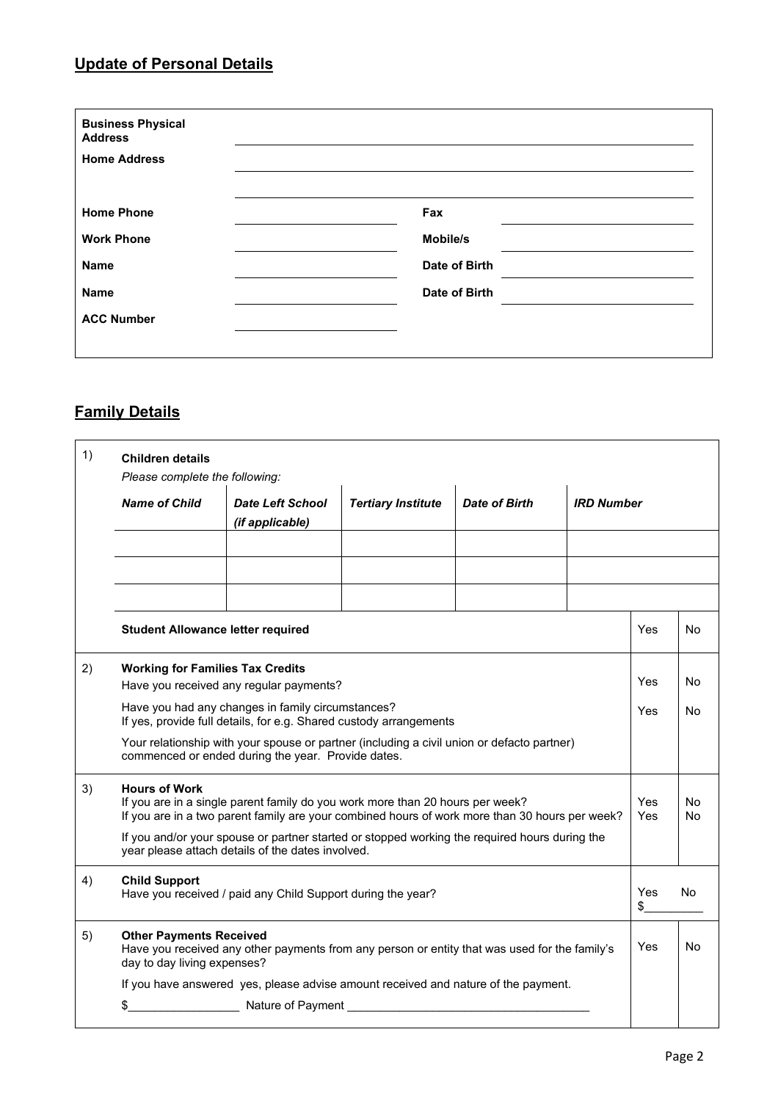#### **Update of Personal Details**

| <b>Business Physical</b><br><b>Address</b> |               |  |
|--------------------------------------------|---------------|--|
| <b>Home Address</b>                        |               |  |
|                                            |               |  |
| <b>Home Phone</b>                          | Fax           |  |
| <b>Work Phone</b>                          | Mobile/s      |  |
| <b>Name</b>                                | Date of Birth |  |
| <b>Name</b>                                | Date of Birth |  |
| <b>ACC Number</b>                          |               |  |
|                                            |               |  |

## **Family Details**

| 1) | <b>Children details</b>                                                                                                                                                                                 |                                                                                                                                                    |                           |               |                                  |                |           |
|----|---------------------------------------------------------------------------------------------------------------------------------------------------------------------------------------------------------|----------------------------------------------------------------------------------------------------------------------------------------------------|---------------------------|---------------|----------------------------------|----------------|-----------|
|    | Please complete the following:<br><b>Name of Child</b>                                                                                                                                                  | <b>Date Left School</b><br>(if applicable)                                                                                                         | <b>Tertiary Institute</b> | Date of Birth | <b>IRD Number</b>                |                |           |
|    |                                                                                                                                                                                                         |                                                                                                                                                    |                           |               |                                  |                |           |
|    |                                                                                                                                                                                                         |                                                                                                                                                    |                           |               |                                  |                |           |
|    |                                                                                                                                                                                                         |                                                                                                                                                    |                           |               |                                  |                |           |
|    | <b>Student Allowance letter required</b>                                                                                                                                                                |                                                                                                                                                    |                           |               | Yes                              | N <sub>o</sub> |           |
| 2) | <b>Working for Families Tax Credits</b><br>Have you received any regular payments?                                                                                                                      |                                                                                                                                                    |                           | Yes           | No                               |                |           |
|    | Have you had any changes in family circumstances?<br>If yes, provide full details, for e.g. Shared custody arrangements                                                                                 |                                                                                                                                                    |                           |               | Yes                              | No             |           |
|    | Your relationship with your spouse or partner (including a civil union or defacto partner)<br>commenced or ended during the year. Provide dates.                                                        |                                                                                                                                                    |                           |               |                                  |                |           |
| 3) | <b>Hours of Work</b><br>If you are in a single parent family do you work more than 20 hours per week?<br>If you are in a two parent family are your combined hours of work more than 30 hours per week? |                                                                                                                                                    |                           | Yes<br>Yes    | N <sub>o</sub><br>N <sub>o</sub> |                |           |
|    |                                                                                                                                                                                                         | If you and/or your spouse or partner started or stopped working the required hours during the<br>year please attach details of the dates involved. |                           |               |                                  |                |           |
| 4) | <b>Child Support</b><br>Have you received / paid any Child Support during the year?                                                                                                                     |                                                                                                                                                    |                           | Yes<br>\$     | No.                              |                |           |
| 5) | <b>Other Payments Received</b><br>day to day living expenses?                                                                                                                                           | Have you received any other payments from any person or entity that was used for the family's                                                      |                           |               |                                  | Yes            | <b>No</b> |
|    | If you have answered yes, please advise amount received and nature of the payment.                                                                                                                      |                                                                                                                                                    |                           |               |                                  |                |           |
|    | \$                                                                                                                                                                                                      |                                                                                                                                                    |                           |               |                                  |                |           |